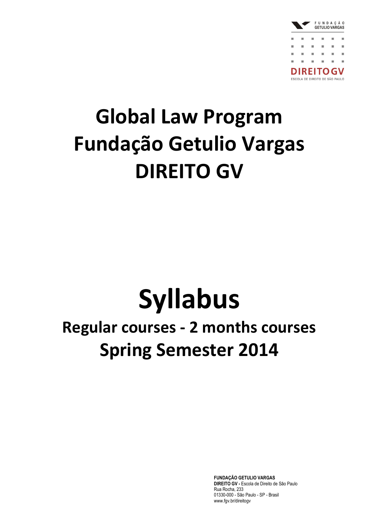

## **Global Law Program Fundação Getulio Vargas DIREITO GV**

# **Syllabus**

### **Regular courses - 2 months courses Spring Semester 2014**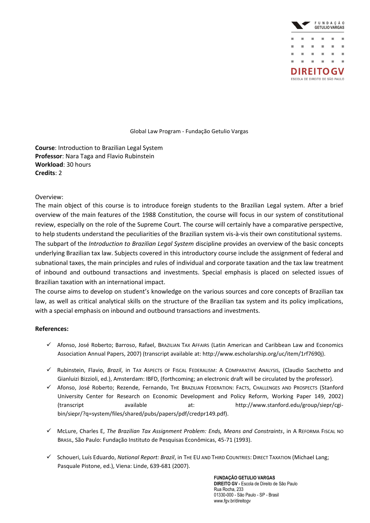

**Course**: Introduction to Brazilian Legal System **Professor**: Nara Taga and Flavio Rubinstein **Workload**: 30 hours **Credits**: 2

### Overview:

The main object of this course is to introduce foreign students to the Brazilian Legal system. After a brief overview of the main features of the 1988 Constitution, the course will focus in our system of constitutional review, especially on the role of the Supreme Court. The course will certainly have a comparative perspective, to help students understand the peculiarities of the Brazilian system vis-à-vis their own constitutional systems. The subpart of the *Introduction to Brazilian Legal System* discipline provides an overview of the basic concepts underlying Brazilian tax law. Subjects covered in this introductory course include the assignment of federal and subnational taxes, the main principles and rules of individual and corporate taxation and the tax law treatment of inbound and outbound transactions and investments. Special emphasis is placed on selected issues of Brazilian taxation with an international impact.

The course aims to develop on student's knowledge on the various sources and core concepts of Brazilian tax law, as well as critical analytical skills on the structure of the Brazilian tax system and its policy implications, with a special emphasis on inbound and outbound transactions and investments.

### **References:**

- Afonso, José Roberto; Barroso, Rafael, BRAZILIAN TAX AFFAIRS (Latin American and Caribbean Law and Economics Association Annual Papers, 2007) (transcript available at: http://www.escholarship.org/uc/item/1rf7690j).
- Rubinstein, Flavio, *Brazil*, in TAX ASPECTS OF FISCAL FEDERALISM: A COMPARATIVE ANALYSIS, (Claudio Sacchetto and Gianluizi Bizzioli, ed.), Amsterdam: IBFD, (forthcoming; an electronic draft will be circulated by the professor).
- Afonso, José Roberto; Rezende, Fernando, THE BRAZILIAN FEDERATION: FACTS, CHALLENGES AND PROSPECTS (Stanford University Center for Research on Economic Development and Policy Reform, Working Paper 149, 2002) (transcript available at: http://www.stanford.edu/group/siepr/cgibin/siepr/?q=system/files/shared/pubs/papers/pdf/credpr149.pdf).
- McLure, Charles E, *The Brazilian Tax Assignment Problem: Ends, Means and Constraints*, in A REFORMA FISCAL NO BRASIL, São Paulo: Fundação Instituto de Pesquisas Econômicas, 45-71 (1993).
- Schoueri, Luís Eduardo, *National Report: Brazil*, in THE EU AND THIRD COUNTRIES: DIRECT TAXATION (Michael Lang; Pasquale Pistone, ed.), Viena: Linde, 639-681 (2007).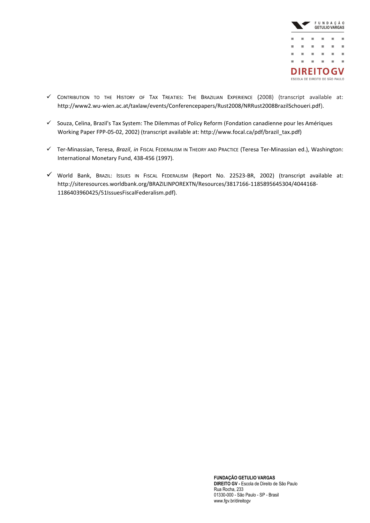

- $\checkmark$  CONTRIBUTION TO THE HISTORY OF TAX TREATIES: THE BRAZILIAN EXPERIENCE (2008) (transcript available at: http://www2.wu-wien.ac.at/taxlaw/events/Conferencepapers/Rust2008/NRRust2008BrazilSchoueri.pdf).
- $\checkmark$  Souza, Celina, Brazil's Tax System: The Dilemmas of Policy Reform (Fondation canadienne pour les Amériques Working Paper FPP-05-02, 2002) (transcript available at: http://www.focal.ca/pdf/brazil\_tax.pdf)
- Ter-Minassian, Teresa, *Brazil*, *in* FISCAL FEDERALISM IN THEORY AND PRACTICE (Teresa Ter-Minassian ed.), Washington: International Monetary Fund, 438-456 (1997).
- World Bank, BRAZIL: ISSUES IN FISCAL FEDERALISM (Report No. 22523-BR, 2002) (transcript available at: http://siteresources.worldbank.org/BRAZILINPOREXTN/Resources/3817166-1185895645304/4044168- 1186403960425/51IssuesFiscalFederalism.pdf).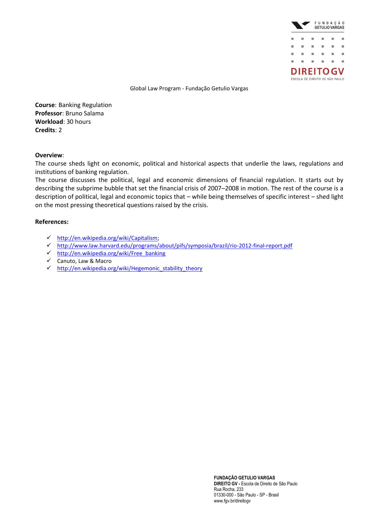

**Course**: Banking Regulation **Professor**: Bruno Salama **Workload**: 30 hours **Credits**: 2

### **Overview**:

The course sheds light on economic, political and historical aspects that underlie the laws, regulations and institutions of banking regulation.

The course discusses the political, legal and economic dimensions of financial regulation. It starts out by describing the subprime bubble that set the financial crisis of 2007–2008 in motion. The rest of the course is a description of political, legal and economic topics that – while being themselves of specific interest – shed light on the most pressing theoretical questions raised by the crisis.

### **References:**

- [http://en.wikipedia.org/wiki/Capitalism;](http://en.wikipedia.org/wiki/Capitalism)
- <http://www.law.harvard.edu/programs/about/pifs/symposia/brazil/rio-2012-final-report.pdf>
- $\checkmark$  [http://en.wikipedia.org/wiki/Free\\_banking](http://en.wikipedia.org/wiki/Free_banking)
- Canuto, Law & Macro
- [http://en.wikipedia.org/wiki/Hegemonic\\_stability\\_theory](http://en.wikipedia.org/wiki/Hegemonic_stability_theory)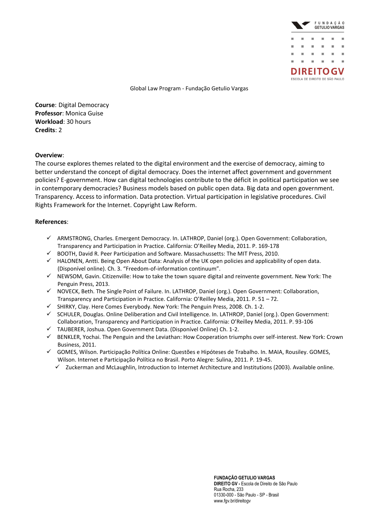

**Course**: Digital Democracy **Professor**: Monica Guise **Workload**: 30 hours **Credits**: 2

### **Overview**:

The course explores themes related to the digital environment and the exercise of democracy, aiming to better understand the concept of digital democracy. Does the internet affect government and government policies? E-government. How can digital technologies contribute to the déficit in political participation we see in contemporary democracies? Business models based on public open data. Big data and open government. Transparency. Access to information. Data protection. Virtual participation in legislative procedures. Civil Rights Framework for the Internet. Copyright Law Reform.

### **References**:

- ARMSTRONG, Charles. Emergent Democracy. In. LATHROP, Daniel (org.). Open Government: Collaboration, Transparency and Participation in Practice. California: O'Reilley Media, 2011. P. 169-178
- $\checkmark$  BOOTH, David R. Peer Participation and Software. Massachussetts: The MIT Press, 2010.
- HALONEN, Antti. Being Open About Data: Analysis of the UK open policies and applicability of open data. (Disponível online). Ch. 3. "Freedom-of-information continuum".
- $\checkmark$  NEWSOM, Gavin. Citizenville: How to take the town square digital and reinvente government. New York: The Penguin Press, 2013.
- $\checkmark$  NOVECK, Beth. The Single Point of Failure. In. LATHROP, Daniel (org.). Open Government: Collaboration, Transparency and Participation in Practice. California: O'Reilley Media, 2011. P. 51 – 72.
- SHIRKY, Clay. Here Comes Everybody. New York: The Penguin Press, 2008. Ch. 1-2.
- SCHULER, Douglas. Online Deliberation and Civil Intelligence. In. LATHROP, Daniel (org.). Open Government: Collaboration, Transparency and Participation in Practice. California: O'Reilley Media, 2011. P. 93-106
- TAUBERER, Joshua. Open Government Data. (Disponível Online) Ch. 1-2.
- BENKLER, Yochai. The Penguin and the Leviathan: How Cooperation triumphs over self-interest. New York: Crown Business, 2011.
- GOMES, Wilson. Participação Política Online: Questões e Hipóteses de Trabalho. In. MAIA, Rousiley. GOMES, Wilson. Internet e Participação Política no Brasil. Porto Alegre: Sulina, 2011. P. 19-45.
	- $\checkmark$  Zuckerman and McLaughlin, Introduction to Internet Architecture and Institutions (2003). Available online.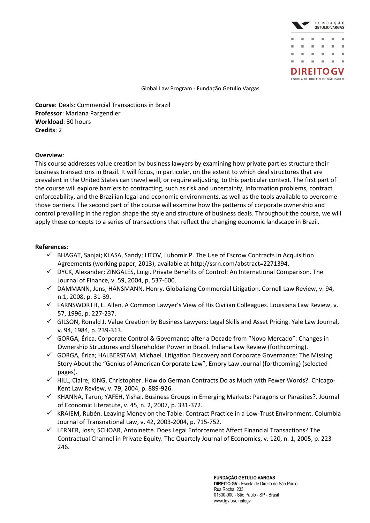

**Course**: Deals: Commercial Transactions in Brazil **Professor**: Mariana Pargendler **Workload**: 30 hours **Credits**: 2

### **Overview**:

This course addresses value creation by business lawyers by examining how private parties structure their business transactions in Brazil. It will focus, in particular, on the extent to which deal structures that are prevalent in the United States can travel well, or require adjusting, to this particular context. The first part of the course will explore barriers to contracting, such as risk and uncertainty, information problems, contract enforceability, and the Brazilian legal and economic environments, as well as the tools available to overcome those barriers. The second part of the course will examine how the patterns of corporate ownership and control prevailing in the region shape the style and structure of business deals. Throughout the course, we will apply these concepts to a series of transactions that reflect the changing economic landscape in Brazil.

### **References**:

- $\checkmark$  BHAGAT, Sanjai; KLASA, Sandy; LITOV, Lubomir P. The Use of Escrow Contracts in Acquisition Agreements (working paper, 2013), available at http://ssrn.com/abstract=2271394.
- $\checkmark$  DYCK, Alexander; ZINGALES, Luigi. Private Benefits of Control: An International Comparison. The Journal of Finance, v. 59, 2004, p. 537-600.
- $\checkmark$  DAMMANN, Jens; HANSMANN, Henry. Globalizing Commercial Litigation. Cornell Law Review, v. 94, n.1, 2008, p. 31-39.
- $\checkmark$  FARNSWORTH, E. Allen. A Common Lawyer's View of His Civilian Colleagues. Louisiana Law Review, v. 57, 1996, p. 227-237.
- GILSON, Ronald J. Value Creation by Business Lawyers: Legal Skills and Asset Pricing. Yale Law Journal, v. 94, 1984, p. 239-313.
- $\checkmark$  GORGA, Érica. Corporate Control & Governance after a Decade from "Novo Mercado": Changes in Ownership Structures and Shareholder Power in Brazil. Indiana Law Review (forthcoming).
- $\checkmark$  GORGA, Érica; HALBERSTAM, Michael. Litigation Discovery and Corporate Governance: The Missing Story About the "Genius of American Corporate Law", Emory Law Journal (forthcoming) (selected pages).
- HILL, Claire; KING, Christopher. How do German Contracts Do as Much with Fewer Words?. Chicago-Kent Law Review, v. 79, 2004, p. 889-926.
- $\checkmark$  KHANNA, Tarun; YAFEH, Yishai. Business Groups in Emerging Markets: Paragons or Parasites?. Journal of Economic Literatute, v. 45, n. 2, 2007, p. 331-372.
- $\checkmark$  KRAIEM, Rubén. Leaving Money on the Table: Contract Practice in a Low-Trust Environment. Columbia Journal of Transnational Law, v. 42, 2003-2004, p. 715-752.
- LERNER, Josh; SCHOAR, Antoinette. Does Legal Enforcement Affect Financial Transactions? The Contractual Channel in Private Equity. The Quartely Journal of Economics, v. 120, n. 1, 2005, p. 223- 246.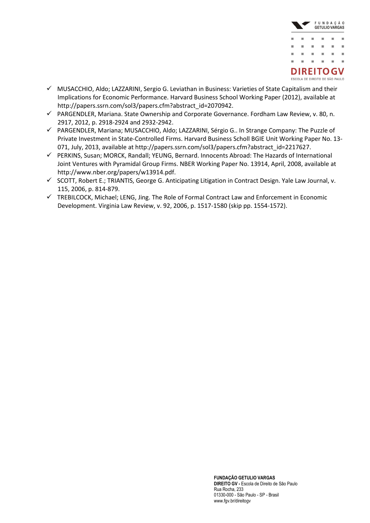

- $\checkmark$  MUSACCHIO, Aldo; LAZZARINI, Sergio G. Leviathan in Business: Varieties of State Capitalism and their Implications for Economic Performance. Harvard Business School Working Paper (2012), available at http://papers.ssrn.com/sol3/papers.cfm?abstract\_id=2070942.
- PARGENDLER, Mariana. State Ownership and Corporate Governance. Fordham Law Review, v. 80, n. 2917, 2012, p. 2918-2924 and 2932-2942.
- PARGENDLER, Mariana; MUSACCHIO, Aldo; LAZZARINI, Sérgio G.. In Strange Company: The Puzzle of Private Investment in State-Controlled Firms. Harvard Business Scholl BGIE Unit Working Paper No. 13- 071, July, 2013, available at http://papers.ssrn.com/sol3/papers.cfm?abstract\_id=2217627.
- $\checkmark$  PERKINS, Susan; MORCK, Randall; YEUNG, Bernard. Innocents Abroad: The Hazards of International Joint Ventures with Pyramidal Group Firms. NBER Working Paper No. 13914, April, 2008, available at http://www.nber.org/papers/w13914.pdf.
- $\checkmark$  SCOTT, Robert E.; TRIANTIS, George G. Anticipating Litigation in Contract Design. Yale Law Journal, v. 115, 2006, p. 814-879.
- $\checkmark$  TREBILCOCK, Michael; LENG, Jing. The Role of Formal Contract Law and Enforcement in Economic Development. Virginia Law Review, v. 92, 2006, p. 1517-1580 (skip pp. 1554-1572).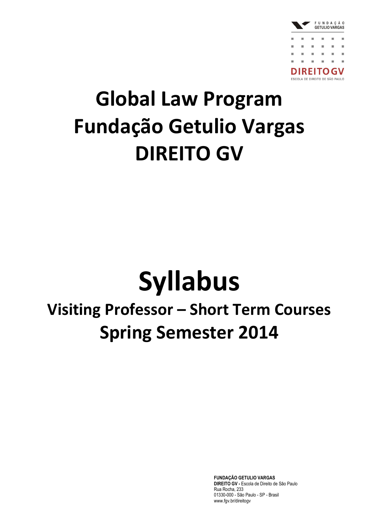

## **Global Law Program Fundação Getulio Vargas DIREITO GV**

# **Syllabus**

### **Visiting Professor – Short Term Courses Spring Semester 2014**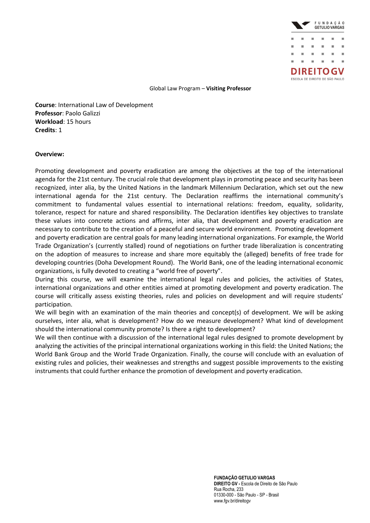

**Course**: International Law of Development **Professor**: Paolo Galizzi **Workload**: 15 hours **Credits**: 1

### **Overview:**

Promoting development and poverty eradication are among the objectives at the top of the international agenda for the 21st century. The crucial role that development plays in promoting peace and security has been recognized, inter alia, by the United Nations in the landmark Millennium Declaration, which set out the new international agenda for the 21st century. The Declaration reaffirms the international community's commitment to fundamental values essential to international relations: freedom, equality, solidarity, tolerance, respect for nature and shared responsibility. The Declaration identifies key objectives to translate these values into concrete actions and affirms, inter alia, that development and poverty eradication are necessary to contribute to the creation of a peaceful and secure world environment. Promoting development and poverty eradication are central goals for many leading international organizations. For example, the World Trade Organization's (currently stalled) round of negotiations on further trade liberalization is concentrating on the adoption of measures to increase and share more equitably the (alleged) benefits of free trade for developing countries (Doha Development Round). The World Bank, one of the leading international economic organizations, is fully devoted to creating a "world free of poverty".

During this course, we will examine the international legal rules and policies, the activities of States, international organizations and other entities aimed at promoting development and poverty eradication. The course will critically assess existing theories, rules and policies on development and will require students' participation.

We will begin with an examination of the main theories and concept(s) of development. We will be asking ourselves, inter alia, what is development? How do we measure development? What kind of development should the international community promote? Is there a right to development?

We will then continue with a discussion of the international legal rules designed to promote development by analyzing the activities of the principal international organizations working in this field: the United Nations; the World Bank Group and the World Trade Organization. Finally, the course will conclude with an evaluation of existing rules and policies, their weaknesses and strengths and suggest possible improvements to the existing instruments that could further enhance the promotion of development and poverty eradication.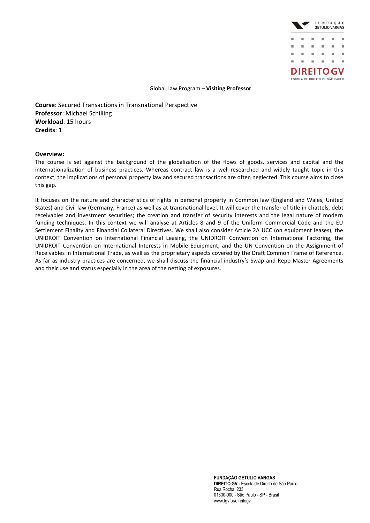

**Course**: Secured Transactions in Transnational Perspective **Professor**: Michael Schilling **Workload**: 15 hours **Credits**: 1

#### **Overview:**

The course is set against the background of the globalization of the flows of goods, services and capital and the internationalization of business practices. Whereas contract law is a well-researched and widely taught topic in this context, the implications of personal property law and secured transactions are often neglected. This course aims to close this gap.

It focuses on the nature and characteristics of rights in personal property in Common law (England and Wales, United States) and Civil law (Germany, France) as well as at transnational level. It will cover the transfer of title in chattels, debt receivables and investment securities; the creation and transfer of security interests and the legal nature of modern funding techniques. In this context we will analyse at Articles 8 and 9 of the Uniform Commercial Code and the EU Settlement Finality and Financial Collateral Directives. We shall also consider Article 2A UCC (on equipment leases), the UNIDROIT Convention on International Financial Leasing, the UNIDROIT Convention on International Factoring, the UNIDROIT Convention on International Interests in Mobile Equipment, and the UN Convention on the Assignment of Receivables in International Trade, as well as the proprietary aspects covered by the Draft Common Frame of Reference. As far as industry practices are concerned, we shall discuss the financial industry's Swap and Repo Master Agreements and their use and status especially in the area of the netting of exposures.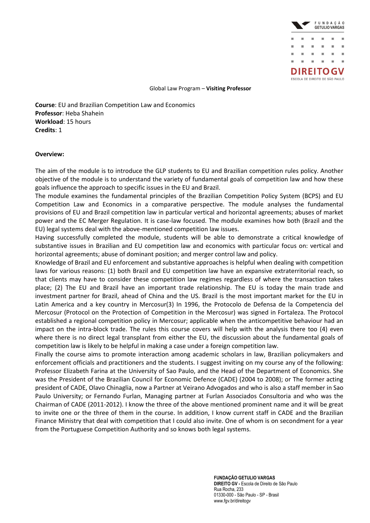

**Course**: EU and Brazilian Competition Law and Economics **Professor**: Heba Shahein **Workload**: 15 hours **Credits**: 1

### **Overview:**

The aim of the module is to introduce the GLP students to EU and Brazilian competition rules policy. Another objective of the module is to understand the variety of fundamental goals of competition law and how these goals influence the approach to specific issues in the EU and Brazil.

The module examines the fundamental principles of the Brazilian Competition Policy System (BCPS) and EU Competition Law and Economics in a comparative perspective. The module analyses the fundamental provisions of EU and Brazil competition law in particular vertical and horizontal agreements; abuses of market power and the EC Merger Regulation. It is case-law focused. The module examines how both (Brazil and the EU) legal systems deal with the above-mentioned competition law issues.

Having successfully completed the module, students will be able to demonstrate a critical knowledge of substantive issues in Brazilian and EU competition law and economics with particular focus on: vertical and horizontal agreements; abuse of dominant position; and merger control law and policy.

Knowledge of Brazil and EU enforcement and substantive approaches is helpful when dealing with competition laws for various reasons: (1) both Brazil and EU competition law have an expansive extraterritorial reach, so that clients may have to consider these competition law regimes regardless of where the transaction takes place; (2) The EU and Brazil have an important trade relationship. The EU is today the main trade and investment partner for Brazil, ahead of China and the US. Brazil is the most important market for the EU in Latin America and a key country in Mercosur(3) In 1996, the Protocolo de Defensa de la Competencia del Mercosur (Protocol on the Protection of Competition in the Mercosur) was signed in Fortaleza. The Protocol established a regional competition policy in Mercosur; applicable when the anticompetitive behaviour had an impact on the intra-block trade. The rules this course covers will help with the analysis there too (4) even where there is no direct legal transplant from either the EU, the discussion about the fundamental goals of competition law is likely to be helpful in making a case under a foreign competition law.

Finally the course aims to promote interaction among academic scholars in law, Brazilian policymakers and enforcement officials and practitioners and the students. I suggest inviting on my course any of the following: Professor Elizabeth Farina at the University of Sao Paulo, and the Head of the Department of Economics. She was the President of the Brazilian Council for Economic Defence (CADE) (2004 to 2008); or The former acting president of CADE, Olavo Chinaglia, now a Partner at Veirano Advogados and who is also a staff member in Sao Paulo University; or Fernando Furlan, Managing partner at Furlan Associados Consultoria and who was the Chairman of CADE (2011-2012). I know the three of the above mentioned prominent name and it will be great to invite one or the three of them in the course. In addition, I know current staff in CADE and the Brazilian Finance Ministry that deal with competition that I could also invite. One of whom is on secondment for a year from the Portuguese Competition Authority and so knows both legal systems.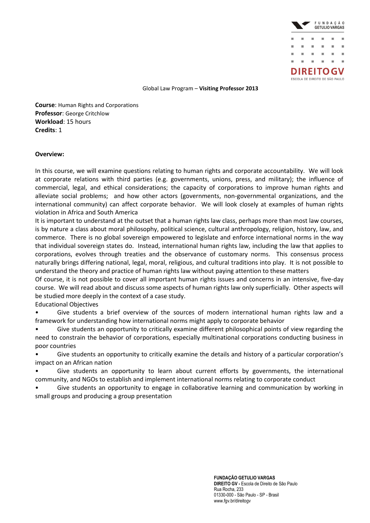

**Course**: Human Rights and Corporations **Professor**: George Critchlow **Workload**: 15 hours **Credits**: 1

### **Overview:**

In this course, we will examine questions relating to human rights and corporate accountability. We will look at corporate relations with third parties (e.g. governments, unions, press, and military); the influence of commercial, legal, and ethical considerations; the capacity of corporations to improve human rights and alleviate social problems; and how other actors (governments, non-governmental organizations, and the international community) can affect corporate behavior. We will look closely at examples of human rights violation in Africa and South America

It is important to understand at the outset that a human rights law class, perhaps more than most law courses, is by nature a class about moral philosophy, political science, cultural anthropology, religion, history, law, and commerce. There is no global sovereign empowered to legislate and enforce international norms in the way that individual sovereign states do. Instead, international human rights law, including the law that applies to corporations, evolves through treaties and the observance of customary norms. This consensus process naturally brings differing national, legal, moral, religious, and cultural traditions into play. It is not possible to understand the theory and practice of human rights law without paying attention to these matters

Of course, it is not possible to cover all important human rights issues and concerns in an intensive, five-day course. We will read about and discuss some aspects of human rights law only superficially. Other aspects will be studied more deeply in the context of a case study.

### Educational Objectives

• Give students a brief overview of the sources of modern international human rights law and a framework for understanding how international norms might apply to corporate behavior

• Give students an opportunity to critically examine different philosophical points of view regarding the need to constrain the behavior of corporations, especially multinational corporations conducting business in poor countries

Give students an opportunity to critically examine the details and history of a particular corporation's impact on an African nation

• Give students an opportunity to learn about current efforts by governments, the international community, and NGOs to establish and implement international norms relating to corporate conduct

• Give students an opportunity to engage in collaborative learning and communication by working in small groups and producing a group presentation